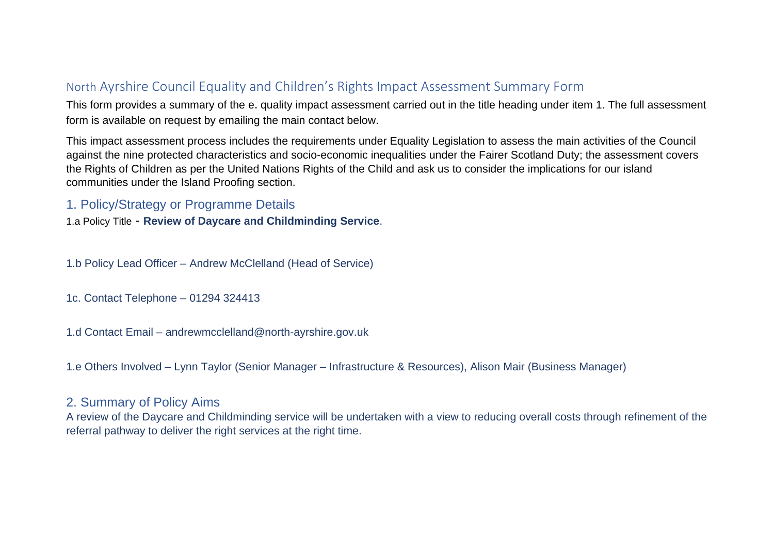# North Ayrshire Council Equality and Children's Rights Impact Assessment Summary Form

This form provides a summary of the e. quality impact assessment carried out in the title heading under item 1. The full assessment form is available on request by emailing the main contact below.

This impact assessment process includes the requirements under Equality Legislation to assess the main activities of the Council against the nine protected characteristics and socio-economic inequalities under the Fairer Scotland Duty; the assessment covers the Rights of Children as per the United Nations Rights of the Child and ask us to consider the implications for our island communities under the Island Proofing section.

### 1. Policy/Strategy or Programme Details

1.a Policy Title - **Review of Daycare and Childminding Service**.

1.b Policy Lead Officer – Andrew McClelland (Head of Service)

1c. Contact Telephone – 01294 324413

1.d Contact Email – andrewmcclelland@north-ayrshire.gov.uk

1.e Others Involved – Lynn Taylor (Senior Manager – Infrastructure & Resources), Alison Mair (Business Manager)

## 2. Summary of Policy Aims

A review of the Daycare and Childminding service will be undertaken with a view to reducing overall costs through refinement of the referral pathway to deliver the right services at the right time.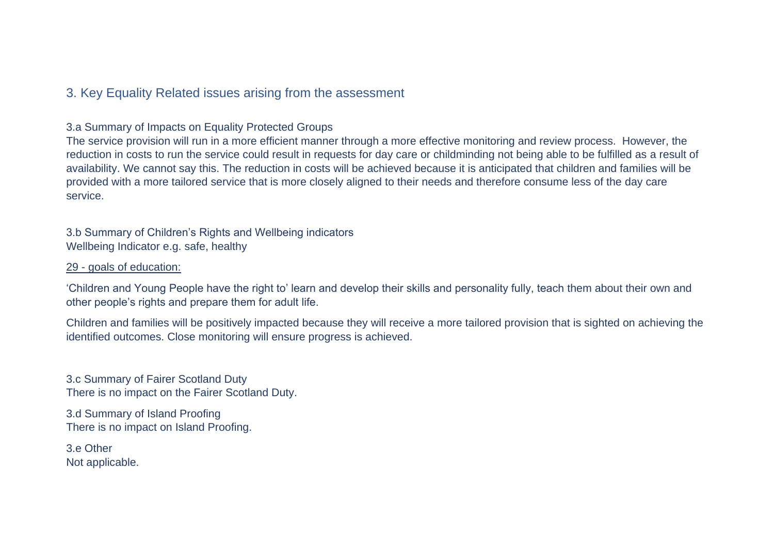## 3. Key Equality Related issues arising from the assessment

### 3.a Summary of Impacts on Equality Protected Groups

The service provision will run in a more efficient manner through a more effective monitoring and review process. However, the reduction in costs to run the service could result in requests for day care or childminding not being able to be fulfilled as a result of availability. We cannot say this. The reduction in costs will be achieved because it is anticipated that children and families will be provided with a more tailored service that is more closely aligned to their needs and therefore consume less of the day care service.

3.b Summary of Children's Rights and Wellbeing indicators Wellbeing Indicator e.g. safe, healthy

#### 29 - goals of education:

'Children and Young People have the right to' learn and develop their skills and personality fully, teach them about their own and other people's rights and prepare them for adult life.

Children and families will be positively impacted because they will receive a more tailored provision that is sighted on achieving the identified outcomes. Close monitoring will ensure progress is achieved.

3.c Summary of Fairer Scotland Duty There is no impact on the Fairer Scotland Duty.

3.d Summary of Island Proofing There is no impact on Island Proofing.

3.e Other Not applicable.